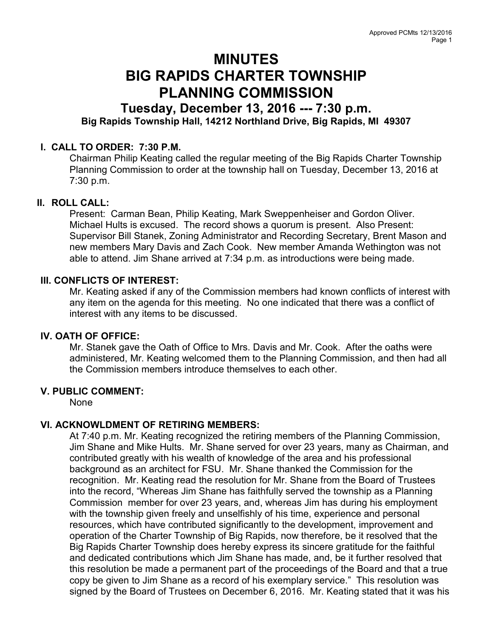# MINUTES BIG RAPIDS CHARTER TOWNSHIP PLANNING COMMISSION

# Tuesday, December 13, 2016 --- 7:30 p.m. Big Rapids Township Hall, 14212 Northland Drive, Big Rapids, MI 49307

# I. CALL TO ORDER: 7:30 P.M.

Chairman Philip Keating called the regular meeting of the Big Rapids Charter Township Planning Commission to order at the township hall on Tuesday, December 13, 2016 at 7:30 p.m.

# II. ROLL CALL:

Present: Carman Bean, Philip Keating, Mark Sweppenheiser and Gordon Oliver. Michael Hults is excused. The record shows a quorum is present. Also Present: Supervisor Bill Stanek, Zoning Administrator and Recording Secretary, Brent Mason and new members Mary Davis and Zach Cook. New member Amanda Wethington was not able to attend. Jim Shane arrived at 7:34 p.m. as introductions were being made.

#### III. CONFLICTS OF INTEREST:

Mr. Keating asked if any of the Commission members had known conflicts of interest with any item on the agenda for this meeting. No one indicated that there was a conflict of interest with any items to be discussed.

# IV. OATH OF OFFICE:

Mr. Stanek gave the Oath of Office to Mrs. Davis and Mr. Cook. After the oaths were administered, Mr. Keating welcomed them to the Planning Commission, and then had all the Commission members introduce themselves to each other.

#### V. PUBLIC COMMENT:

None

# VI. ACKNOWLDMENT OF RETIRING MEMBERS:

At 7:40 p.m. Mr. Keating recognized the retiring members of the Planning Commission, Jim Shane and Mike Hults. Mr. Shane served for over 23 years, many as Chairman, and contributed greatly with his wealth of knowledge of the area and his professional background as an architect for FSU. Mr. Shane thanked the Commission for the recognition. Mr. Keating read the resolution for Mr. Shane from the Board of Trustees into the record, "Whereas Jim Shane has faithfully served the township as a Planning Commission member for over 23 years, and, whereas Jim has during his employment with the township given freely and unselfishly of his time, experience and personal resources, which have contributed significantly to the development, improvement and operation of the Charter Township of Big Rapids, now therefore, be it resolved that the Big Rapids Charter Township does hereby express its sincere gratitude for the faithful and dedicated contributions which Jim Shane has made, and, be it further resolved that this resolution be made a permanent part of the proceedings of the Board and that a true copy be given to Jim Shane as a record of his exemplary service." This resolution was signed by the Board of Trustees on December 6, 2016. Mr. Keating stated that it was his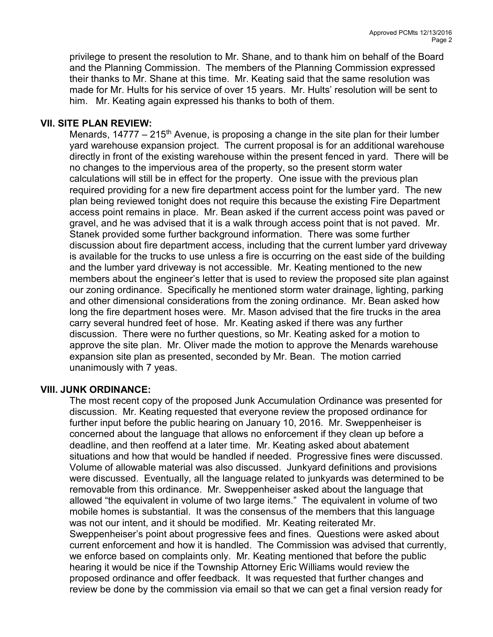privilege to present the resolution to Mr. Shane, and to thank him on behalf of the Board and the Planning Commission. The members of the Planning Commission expressed their thanks to Mr. Shane at this time. Mr. Keating said that the same resolution was made for Mr. Hults for his service of over 15 years. Mr. Hults' resolution will be sent to him. Mr. Keating again expressed his thanks to both of them.

## VII. SITE PLAN REVIEW:

Menards,  $14777 - 215<sup>th</sup>$  Avenue, is proposing a change in the site plan for their lumber yard warehouse expansion project. The current proposal is for an additional warehouse directly in front of the existing warehouse within the present fenced in yard. There will be no changes to the impervious area of the property, so the present storm water calculations will still be in effect for the property. One issue with the previous plan required providing for a new fire department access point for the lumber yard. The new plan being reviewed tonight does not require this because the existing Fire Department access point remains in place. Mr. Bean asked if the current access point was paved or gravel, and he was advised that it is a walk through access point that is not paved. Mr. Stanek provided some further background information. There was some further discussion about fire department access, including that the current lumber yard driveway is available for the trucks to use unless a fire is occurring on the east side of the building and the lumber yard driveway is not accessible. Mr. Keating mentioned to the new members about the engineer's letter that is used to review the proposed site plan against our zoning ordinance. Specifically he mentioned storm water drainage, lighting, parking and other dimensional considerations from the zoning ordinance. Mr. Bean asked how long the fire department hoses were. Mr. Mason advised that the fire trucks in the area carry several hundred feet of hose. Mr. Keating asked if there was any further discussion. There were no further questions, so Mr. Keating asked for a motion to approve the site plan. Mr. Oliver made the motion to approve the Menards warehouse expansion site plan as presented, seconded by Mr. Bean. The motion carried unanimously with 7 yeas.

#### VIII. JUNK ORDINANCE:

The most recent copy of the proposed Junk Accumulation Ordinance was presented for discussion. Mr. Keating requested that everyone review the proposed ordinance for further input before the public hearing on January 10, 2016. Mr. Sweppenheiser is concerned about the language that allows no enforcement if they clean up before a deadline, and then reoffend at a later time. Mr. Keating asked about abatement situations and how that would be handled if needed. Progressive fines were discussed. Volume of allowable material was also discussed. Junkyard definitions and provisions were discussed. Eventually, all the language related to junkyards was determined to be removable from this ordinance. Mr. Sweppenheiser asked about the language that allowed "the equivalent in volume of two large items." The equivalent in volume of two mobile homes is substantial. It was the consensus of the members that this language was not our intent, and it should be modified. Mr. Keating reiterated Mr. Sweppenheiser's point about progressive fees and fines. Questions were asked about current enforcement and how it is handled. The Commission was advised that currently, we enforce based on complaints only. Mr. Keating mentioned that before the public hearing it would be nice if the Township Attorney Eric Williams would review the proposed ordinance and offer feedback. It was requested that further changes and review be done by the commission via email so that we can get a final version ready for